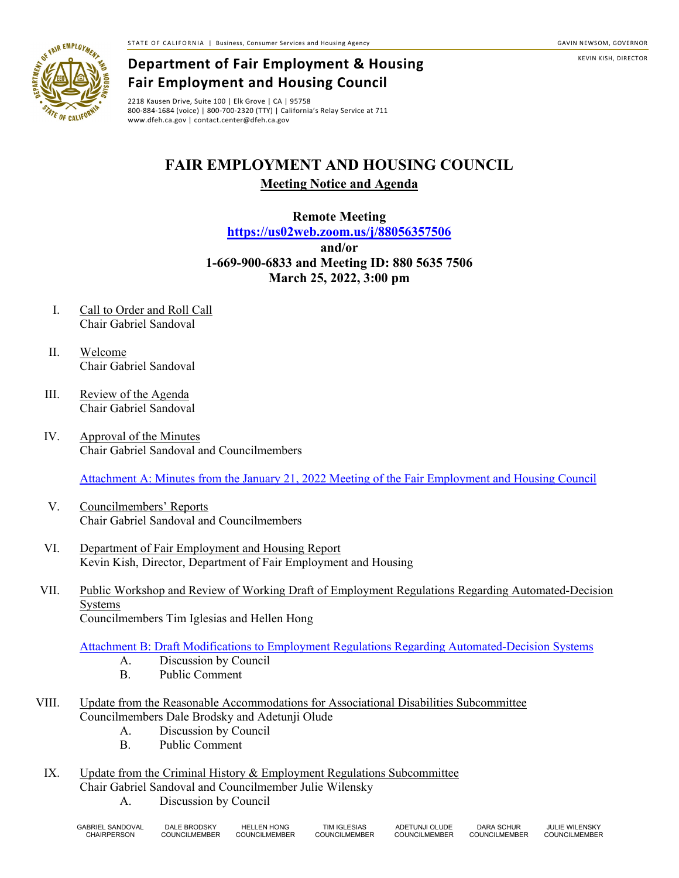KEVIN KISH, DIRECTOR



## **Department of Fair Employment & Housing Fair Employment and Housing Council**

2218 Kausen Drive, Suite 100 | Elk Grove | CA | 95758 800-884-1684 (voice) | 800-700-2320 (TTY) | California's Relay Service at 711 www.dfeh.ca.gov | contact.center@dfeh.ca.gov

## **FAIR EMPLOYMENT AND HOUSING COUNCIL**

## **Meeting Notice and Agenda**

**Remote Meeting**

**<https://us02web.zoom.us/j/88056357506>**

**and/or**

**1-669-900-6833 and Meeting ID: 880 5635 7506 March 25, 2022, 3:00 pm**

- I. Call to Order and Roll Call Chair Gabriel Sandoval
- II. Welcome Chair Gabriel Sandoval
- III. Review of the Agenda Chair Gabriel Sandoval
- IV. Approval of the Minutes Chair Gabriel Sandoval and Councilmembers

Attachment A: Minutes from the January 21, 2022 [Meeting of the Fair Employment and Housing Council](https://www.dfeh.ca.gov/wp-content/uploads/sites/32/2022/03/AttachA-FEHCMinutes2022Jan21.pdf)

- V. Councilmembers' Reports Chair Gabriel Sandoval and Councilmembers
- VI. Department of Fair Employment and Housing Report Kevin Kish, Director, Department of Fair Employment and Housing
- VII. Public Workshop and Review of Working Draft of Employment Regulations Regarding Automated-Decision Systems Councilmembers Tim Iglesias and Hellen Hong

[Attachment B: Draft Modifications to Employment Regulations Regarding Automated-Decision Systems](https://www.dfeh.ca.gov/wp-content/uploads/sites/32/2022/03/AttachB-ModtoEmployRegAutomated-DecisionSystems.pdf)

- A. Discussion by Council
- B. Public Comment
- VIII. Update from the Reasonable Accommodations for Associational Disabilities Subcommittee Councilmembers Dale Brodsky and Adetunji Olude
	- A. Discussion by Council
	- B. Public Comment
	- IX. Update from the Criminal History & Employment Regulations Subcommittee Chair Gabriel Sandoval and Councilmember Julie Wilensky A. Discussion by Council

| <b>GABRIEL SANDOVAL</b><br><b>CHAIRPERSON</b> | DALE BRODSKY<br><b>COUNCILMEMBER</b> | <b>HELLEN HONG</b><br><b>COUNCILMEMBER</b> | <b>TIM IGLESIAS</b><br><b>COUNCILMEMBER</b> | ADETUNJI OLUDE<br><b>COUNCILMEMBER</b> | DARA SCHUR<br>COLINCIL MEMBER | <b>JULIE WILENSKY</b><br>COUNCILMEMBER |
|-----------------------------------------------|--------------------------------------|--------------------------------------------|---------------------------------------------|----------------------------------------|-------------------------------|----------------------------------------|
|-----------------------------------------------|--------------------------------------|--------------------------------------------|---------------------------------------------|----------------------------------------|-------------------------------|----------------------------------------|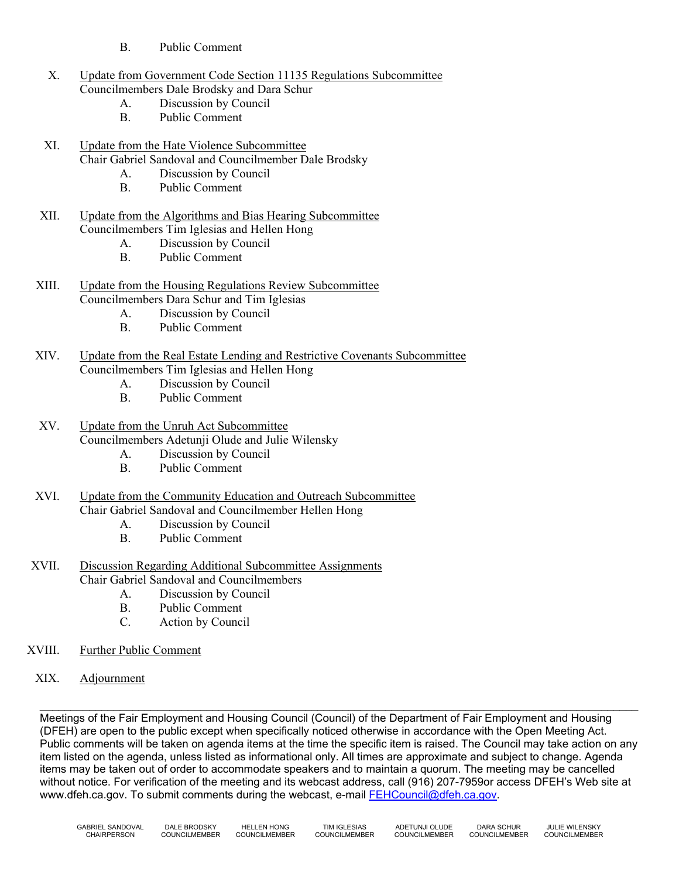- B. Public Comment
- X. Update from Government Code Section 11135 Regulations Subcommittee Councilmembers Dale Brodsky and Dara Schur
	- A. Discussion by Council
	- B. Public Comment
- XI. Update from the Hate Violence Subcommittee Chair Gabriel Sandoval and Councilmember Dale Brodsky A. Discussion by Council
	- B. Public Comment
- XII. Update from the Algorithms and Bias Hearing Subcommittee Councilmembers Tim Iglesias and Hellen Hong
	- A. Discussion by Council
	- B. Public Comment
- XIII. Update from the Housing Regulations Review Subcommittee Councilmembers Dara Schur and Tim Iglesias
	- A. Discussion by Council
	- B. Public Comment
- XIV. Update from the Real Estate Lending and Restrictive Covenants Subcommittee Councilmembers Tim Iglesias and Hellen Hong A. Discussion by Council
	- B. Public Comment
- XV. Update from the Unruh Act Subcommittee Councilmembers Adetunji Olude and Julie Wilensky
	- A. Discussion by Council
	- B. Public Comment
- XVI. Update from the Community Education and Outreach Subcommittee Chair Gabriel Sandoval and Councilmember Hellen Hong A. Discussion by Council
	- B. Public Comment
- XVII. Discussion Regarding Additional Subcommittee Assignments Chair Gabriel Sandoval and Councilmembers
	- A. Discussion by Council
	- B. Public Comment
	- C. Action by Council
- XVIII. Further Public Comment
	- XIX. Adjournment

\_\_\_\_\_\_\_\_\_\_\_\_\_\_\_\_\_\_\_\_\_\_\_\_\_\_\_\_\_\_\_\_\_\_\_\_\_\_\_\_\_\_\_\_\_\_\_\_\_\_\_\_\_\_\_\_\_\_\_\_\_\_\_\_\_\_\_\_\_\_\_\_\_\_\_\_\_\_\_\_\_\_\_\_\_\_\_\_\_\_\_\_\_\_\_\_\_ Meetings of the Fair Employment and Housing Council (Council) of the Department of Fair Employment and Housing (DFEH) are open to the public except when specifically noticed otherwise in accordance with the Open Meeting Act. Public comments will be taken on agenda items at the time the specific item is raised. The Council may take action on any item listed on the agenda, unless listed as informational only. All times are approximate and subject to change. Agenda items may be taken out of order to accommodate speakers and to maintain a quorum. The meeting may be cancelled without notice. For verification of the meeting and its webcast address, call (916) 207-7959or access DFEH's Web site at www.dfeh.ca.gov. To submit comments during the webcast, e-mail [FEHCouncil@dfeh.ca.gov.](mailto:FEHCouncil@dfeh.ca.gov)